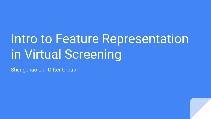# Intro to Feature Representation in Virtual Screening

Shengchao Liu, Gitter Group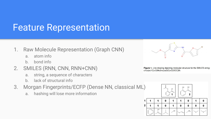### Feature Representation

- 1. Raw Molecule Representation (Graph CNN)
	- a. atom info
	- b. bond info
- 2. SMILES (RNN, CNN, RNN+CNN)
	- a. string, a sequence of characters
	- b. lack of structural info
- 3. Morgan Fingerprints/ECFP (Dense NN, classical ML)
	- a. hashing will lose more information



Figure 1. Line drawing depicting molecular structure for the SMILES string:  $c1cc(oc1C(=O)Nc2nc(cs2)C(=O)OCC)Br.$ 

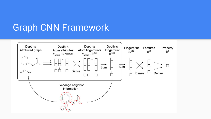### Graph CNN Framework

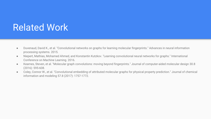### Related Work

- Duvenaud, David K., et al. "Convolutional networks on graphs for learning molecular fingerprints." Advances in neural information processing systems. 2015.
- Niepert, Mathias, Mohamed Ahmed, and Konstantin Kutzkov. "Learning convolutional neural networks for graphs." International Conference on Machine Learning. 2016.
- Kearnes, Steven, et al. "Molecular graph convolutions: moving beyond fingerprints." Journal of computer-aided molecular design 30.8 (2016): 595-608.
- Coley, Connor W., et al. "Convolutional embedding of attributed molecular graphs for physical property prediction." Journal of chemical information and modeling 57.8 (2017): 1757-1772.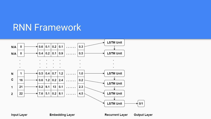#### **RNN Framework**



Input Layer

**Embedding Layer** 

**Recurrent Layer** 

**Output Layer**